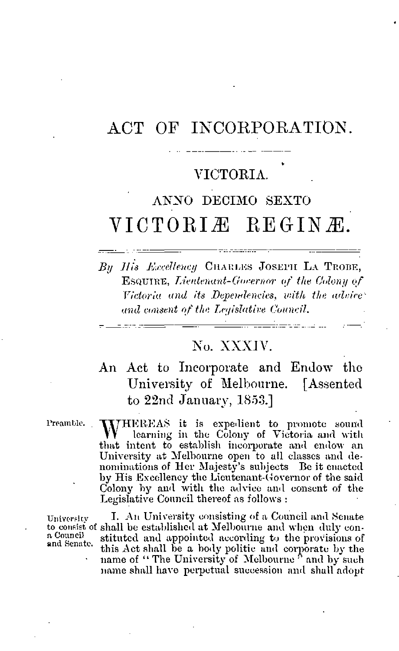# ACT OF INCORPORATION.

## VICTORIA.

# ANNO DECIMO SEXTO VICTORIÆ REGINÆ.

Bu His Excellency CHARLES JOSEPH LA TROBE, **ESQUIRE, Lientenant-Governor of the Colony of** Victoria and its Dependencies, with the advice and consent of the Legislative Council.

## No. XXXIV.

An Act to Incorporate and Endow the University of Melbourne. [Assented to 22nd January, 1853.]

Preamble.

 $\begin{array}{cccccccccc} \multicolumn{2}{c}{} & \multicolumn{2}{c}{} & \multicolumn{2}{c}{} & \multicolumn{2}{c}{} & \multicolumn{2}{c}{} & \multicolumn{2}{c}{} & \multicolumn{2}{c}{} & \multicolumn{2}{c}{} & \multicolumn{2}{c}{} & \multicolumn{2}{c}{} & \multicolumn{2}{c}{} & \multicolumn{2}{c}{} & \multicolumn{2}{c}{} & \multicolumn{2}{c}{} & \multicolumn{2}{c}{} & \multicolumn{2}{c}{} & \multicolumn{2}{c}{} & \multicolumn{2}{c}{} & \multicolumn{2}{c}{} & \mult$ 

WHEREAS it is expedient to promote sound<br>W learning in the Colony of Victoria and with that intent to establish incorporate and endow an University at Melbourne open to all classes and denominations of Her Majesty's subjects Be it enacted by His Excellency the Lieutenant-Governor of the said Colony by and with the advice and consent of the Legislative Council thereof as follows:

University n Council and Senate.

I. An University consisting of a Council and Senate to consist of shall be established at Melbourne and when duly constituted and appointed according to the provisions of this Act shall be a body politic and corporate by the name of "The University of Melbourne" and by such name shall have perpetual succession and shall adopt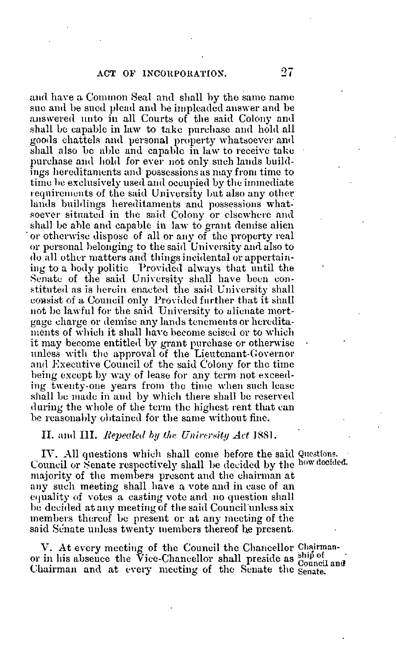and have a Common Seal and shall by the same name sue and be sued plead and be impleaded answer and be answered unto in all Courts of the said Colony and shall be capable in law to take purchase and hold all goods chattels and personal property whatsoever and shall also bo able and capable in law to receive take purchase and hold for ever not only such lands buildings hereditaments and possessions as may from time to time be exclusively used and occupied by the immediate requirements of the said University but also any other lands buildings hereditaments and possessions whatsoever situated in the said Colony or elsewhere and shall be able and capable in law to grant demise alien ' or otherwise dispose of all or any of the property real or personal belonging to the said University and also to do all other matters and things incidental or appertaining to a body politic Provided always that until the Senate of the said University shall have been constituted as is herein enacted the said University shall consist of a Council only Provided further that it shall not be lawful for the said University to alienate mortgage charge or demise any lands tenements or hereditaments of which it shall have become seised or to which it may become entitled by grant purchase or otherwise unless with the approval of the Lieutenant-Governor and Executive Council of the said Colony for the time being except by way of lease for any term not exceeding twenty-one years from the time when such lease shall be made in and by which there shall be reserved during the whole of the term the highest rent that can be reasonably obtained for the same without fine.

#### II. and  $\text{III.}$  Repealed by the University Act 1881.

IV. All questions which shall come before the said Questions. Council or Senate respectively shall be decided by the how decided. majority of the members present and the chairman at any such meeting shall have a vote and in case of an equality of votes a casting vote and no question shall be decided at any meeting of the said Council unless six members thereof be present or at any meeting of the said Senate unless twenty members thereof he present.

V. At every meeting of the Council the Chancellor Chairman-V. At every meeting or the Council inc Chancellor shall preside as  $\frac{\sinh \alpha}{\sinh \alpha}$  or in his absence the Vice-Chancellor shall preside as  $\frac{\sinh \alpha}{\cosh \alpha}$ Chairman and at every meeting of the Senate the senate.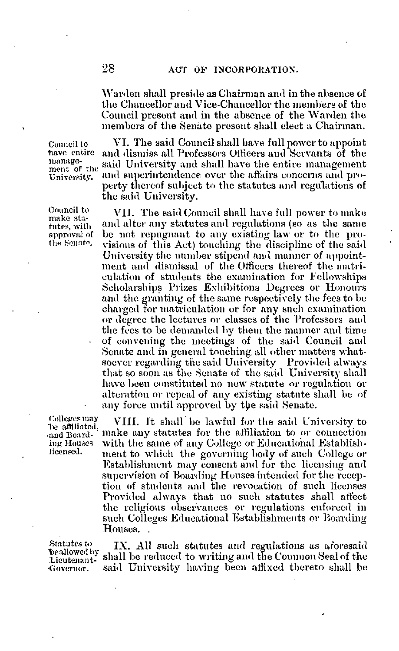Warden shall preside as Chairman and in the absence of the Chancellor and Vice-Chancellor the members of the Council present and in the absence of the Warden the members of the Senate present shall elect a Chairman.

Council to have entire management of tho University.

Council to make statutes, with approval of the Senate.

VI. The said Council shall have full power to appoint and dismiss all Professors Officers and Servants of the said University and shall have the entire management and superintendence over the affairs concerns and property thereof subject to the statutes and regulations of the said University.

VII. The said Council shall have full power to make and alter any statutes and regulations (so as the same be not repugnant to any existing law or to the provisions of this Act) touching the discipline of the said University the number stipend and manner of appointment and dismissal of the Officers thereof the matriculation of students the examination for Fellowships Scholarships Prizes Exhibitions Degrees or Honours and the granting of the same respectively the fees to be charged for matriculation or for any such examination or degree the lectures or classes of the Professors and the fees to be demanded by them the manner and time of convening the meetings of the said Council and Senate and in general touching all other matters whatsoever regarding the said University Provided always that so soon as the Senate of the said University shall have been constituted no new statute or regulation or alteration or repeal of any existing statute shall be of any force until approved by the said Senate.

VIII. It shall be lawful for the said University to make any statutes for the affiliation to or connection with the same of any College or Educational Establishment to which the governing body of such College or Establishment may consent and for the licensing and supervision of Boarding Houses intended for the reception of students and the revocation of such licenses Provided always that no such statutes shall affect the religious observances or regulations enforced in such Colleges Educational Establishments or Boarding Houses. .

Lieutenant-

Colleges may he affiliated, •and Boarding Houses licensed.

Statutes to  $N$ . All such statutes and regulations as aforesaid beallowed by  $\mathbb{R}^{N-1}$ . It has underned to multiple and the Common Seal of the shall be reduced to writing and the Common Seal of the •Governor. said University having been affixed thereto shall be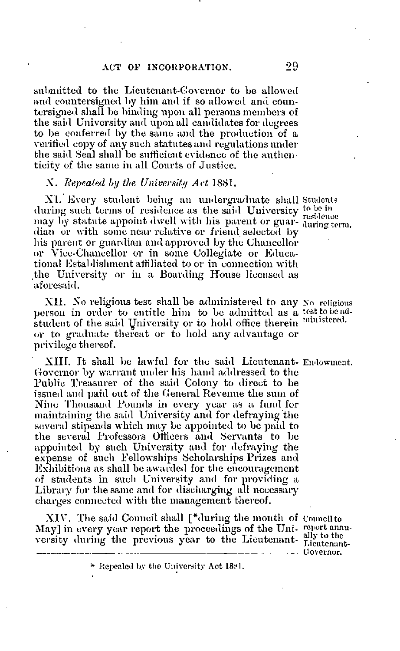submitted to the Lieutenant-Governor to be allowed and countersigned by him and if so allowed and countersigned shall be binding upon all persons members of the said University and upon all candidates for degrees to be conferred by the same and the production of a verified copy of any such statutes and regulations under the said Seal shall be sufficient evidence of the authenticity of the same in all Courts of Justice .

### X. Repealed by the University Act 1881.

XI. Every student being an undergraduate shall Students during such terms of residence as the said University to be in may by statute appoint dwell with his parent or guar- daring term. dian or with some near relative or friend selected by his parent or guardian and approved by the Chancellor or Vice-Chancellor or in some Collegiate or Educational Establishment affiliated to or in connection with the University or in a Boarding House licensed as aforesaid.

XII. No religious test shall be administered to any No religious person in order to entitle him to be admitted as a test to be adstudent of the said University or to hold office therein <sup>ministered</sup> or to graduate thereat or to hold any advantage or privilege thereof.

XIII. It shall be lawful for the said Lieutenant- Endowment.. Governor by warrant under his hand addressed to the Public Treasurer of the said Colony to direct to be issued and paid out of the General Revenue the sum of Nino Thousand Pounds in every year as a fund for maintaining the said University and for defraying the several stipends which may be appointed to be paid to the several Professors Officers and Servants to be appointed by such University and for defraying the expense of such Fellowships Scholarships Prizes and Exhibitions as shall be awarded for the encouragement of students in such University and for providing a Library for the same and for discharging all necessary charges connected with the management thereof.

XIV. The said Council shall [\*during the month of Councilto May] in every year report the proceedings of the Uni- report annuversity during the previous year to the Lieutenant- ally to the

... . \_. Governor.

<sup>\*</sup> Repealed by the University Act 18S1.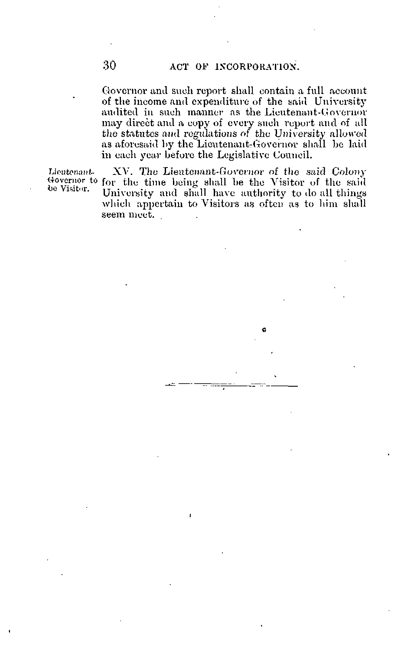Governor and such report shall contain a full account of the income and expenditure of the said University audited in such manner as the Lieutenant-Governor may direct and a copy of every such report and of ull the statutes and regulations of the University allowed as aforesaid by the Lieutenant-Governor shall be laid in each year before the Legislative Council.

Lieutenant- XV. The Lieutenant-Governor ot the said Colony Governor to for the time being shall be the Visitor of the said be Visitor. University and shall have authority to do all things which appertain to Visitors as often as to him shall seem meet.